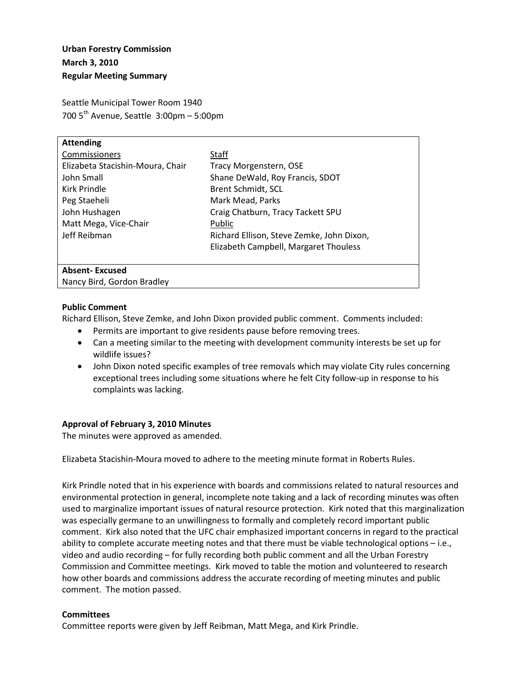# **Urban Forestry Commission March 3, 2010 Regular Meeting Summary**

Seattle Municipal Tower Room 1940 700  $5<sup>th</sup>$  Avenue, Seattle 3:00pm – 5:00pm

| <b>Attending</b>                 |                                           |
|----------------------------------|-------------------------------------------|
| Commissioners                    | Staff                                     |
| Elizabeta Stacishin-Moura, Chair | Tracy Morgenstern, OSE                    |
| John Small                       | Shane DeWald, Roy Francis, SDOT           |
| Kirk Prindle                     | Brent Schmidt, SCL                        |
| Peg Staeheli                     | Mark Mead, Parks                          |
| John Hushagen                    | Craig Chatburn, Tracy Tackett SPU         |
| Matt Mega, Vice-Chair            | Public                                    |
| Jeff Reibman                     | Richard Ellison, Steve Zemke, John Dixon, |
|                                  | Elizabeth Campbell, Margaret Thouless     |
|                                  |                                           |
| <b>Absent-Excused</b>            |                                           |

Nancy Bird, Gordon Bradley

### **Public Comment**

Richard Ellison, Steve Zemke, and John Dixon provided public comment. Comments included:

- Permits are important to give residents pause before removing trees.
- Can a meeting similar to the meeting with development community interests be set up for wildlife issues?
- John Dixon noted specific examples of tree removals which may violate City rules concerning exceptional trees including some situations where he felt City follow-up in response to his complaints was lacking.

# **Approval of February 3, 2010 Minutes**

The minutes were approved as amended.

Elizabeta Stacishin-Moura moved to adhere to the meeting minute format in Roberts Rules.

Kirk Prindle noted that in his experience with boards and commissions related to natural resources and environmental protection in general, incomplete note taking and a lack of recording minutes was often used to marginalize important issues of natural resource protection. Kirk noted that this marginalization was especially germane to an unwillingness to formally and completely record important public comment. Kirk also noted that the UFC chair emphasized important concerns in regard to the practical ability to complete accurate meeting notes and that there must be viable technological options – i.e., video and audio recording – for fully recording both public comment and all the Urban Forestry Commission and Committee meetings. Kirk moved to table the motion and volunteered to research how other boards and commissions address the accurate recording of meeting minutes and public comment. The motion passed.

# **Committees**

Committee reports were given by Jeff Reibman, Matt Mega, and Kirk Prindle.